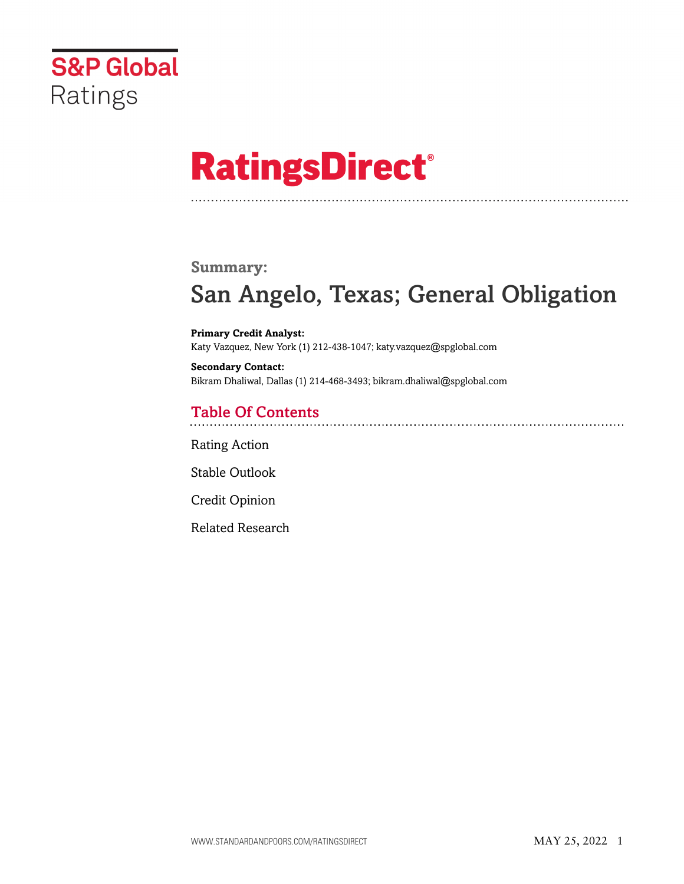

# **RatingsDirect®**

### **Summary:**

# San Angelo, Texas; General Obligation

**Primary Credit Analyst:** Katy Vazquez, New York (1) 212-438-1047; katy.vazquez@spglobal.com

**Secondary Contact:** Bikram Dhaliwal, Dallas (1) 214-468-3493; bikram.dhaliwal@spglobal.com

# Table Of Contents

[Rating Action](#page-1-0)

[Stable Outlook](#page-2-0)

[Credit Opinion](#page-2-1)

[Related Research](#page-5-0)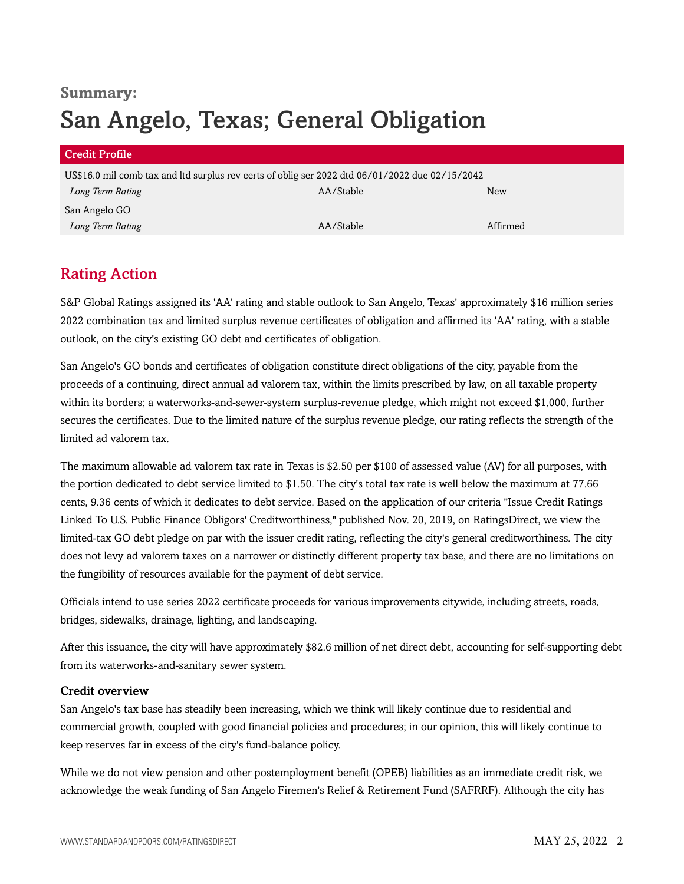# **Summary:** San Angelo, Texas; General Obligation

| <b>Credit Profile</b>                                                                           |           |          |  |  |  |
|-------------------------------------------------------------------------------------------------|-----------|----------|--|--|--|
| US\$16.0 mil comb tax and ltd surplus rev certs of oblig ser 2022 dtd 06/01/2022 due 02/15/2042 |           |          |  |  |  |
| Long Term Rating                                                                                | AA/Stable | New      |  |  |  |
| San Angelo GO                                                                                   |           |          |  |  |  |
| Long Term Rating                                                                                | AA/Stable | Affirmed |  |  |  |

# <span id="page-1-0"></span>Rating Action

S&P Global Ratings assigned its 'AA' rating and stable outlook to San Angelo, Texas' approximately \$16 million series 2022 combination tax and limited surplus revenue certificates of obligation and affirmed its 'AA' rating, with a stable outlook, on the city's existing GO debt and certificates of obligation.

San Angelo's GO bonds and certificates of obligation constitute direct obligations of the city, payable from the proceeds of a continuing, direct annual ad valorem tax, within the limits prescribed by law, on all taxable property within its borders; a waterworks-and-sewer-system surplus-revenue pledge, which might not exceed \$1,000, further secures the certificates. Due to the limited nature of the surplus revenue pledge, our rating reflects the strength of the limited ad valorem tax.

The maximum allowable ad valorem tax rate in Texas is \$2.50 per \$100 of assessed value (AV) for all purposes, with the portion dedicated to debt service limited to \$1.50. The city's total tax rate is well below the maximum at 77.66 cents, 9.36 cents of which it dedicates to debt service. Based on the application of our criteria "Issue Credit Ratings Linked To U.S. Public Finance Obligors' Creditworthiness," published Nov. 20, 2019, on RatingsDirect, we view the limited-tax GO debt pledge on par with the issuer credit rating, reflecting the city's general creditworthiness. The city does not levy ad valorem taxes on a narrower or distinctly different property tax base, and there are no limitations on the fungibility of resources available for the payment of debt service.

Officials intend to use series 2022 certificate proceeds for various improvements citywide, including streets, roads, bridges, sidewalks, drainage, lighting, and landscaping.

After this issuance, the city will have approximately \$82.6 million of net direct debt, accounting for self-supporting debt from its waterworks-and-sanitary sewer system.

#### Credit overview

San Angelo's tax base has steadily been increasing, which we think will likely continue due to residential and commercial growth, coupled with good financial policies and procedures; in our opinion, this will likely continue to keep reserves far in excess of the city's fund-balance policy.

While we do not view pension and other postemployment benefit (OPEB) liabilities as an immediate credit risk, we acknowledge the weak funding of San Angelo Firemen's Relief & Retirement Fund (SAFRRF). Although the city has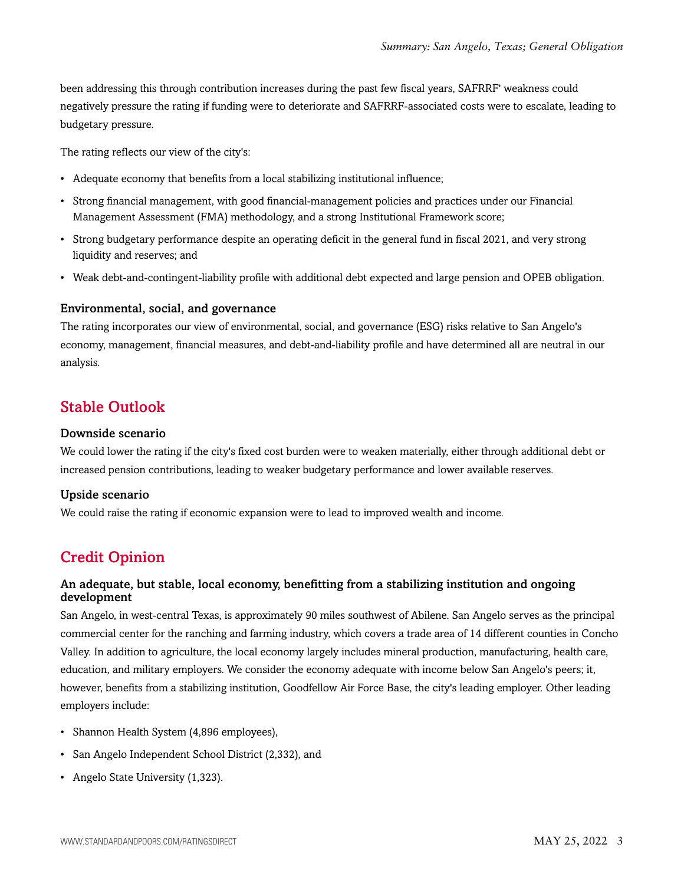been addressing this through contribution increases during the past few fiscal years, SAFRRF' weakness could negatively pressure the rating if funding were to deteriorate and SAFRRF-associated costs were to escalate, leading to budgetary pressure.

The rating reflects our view of the city's:

- Adequate economy that benefits from a local stabilizing institutional influence;
- Strong financial management, with good financial-management policies and practices under our Financial Management Assessment (FMA) methodology, and a strong Institutional Framework score;
- Strong budgetary performance despite an operating deficit in the general fund in fiscal 2021, and very strong liquidity and reserves; and
- Weak debt-and-contingent-liability profile with additional debt expected and large pension and OPEB obligation.

#### Environmental, social, and governance

The rating incorporates our view of environmental, social, and governance (ESG) risks relative to San Angelo's economy, management, financial measures, and debt-and-liability profile and have determined all are neutral in our analysis.

### <span id="page-2-0"></span>Stable Outlook

#### Downside scenario

We could lower the rating if the city's fixed cost burden were to weaken materially, either through additional debt or increased pension contributions, leading to weaker budgetary performance and lower available reserves.

#### Upside scenario

<span id="page-2-1"></span>We could raise the rating if economic expansion were to lead to improved wealth and income.

# Credit Opinion

#### An adequate, but stable, local economy, benefitting from a stabilizing institution and ongoing development

San Angelo, in west-central Texas, is approximately 90 miles southwest of Abilene. San Angelo serves as the principal commercial center for the ranching and farming industry, which covers a trade area of 14 different counties in Concho Valley. In addition to agriculture, the local economy largely includes mineral production, manufacturing, health care, education, and military employers. We consider the economy adequate with income below San Angelo's peers; it, however, benefits from a stabilizing institution, Goodfellow Air Force Base, the city's leading employer. Other leading employers include:

- Shannon Health System (4,896 employees),
- San Angelo Independent School District (2,332), and
- Angelo State University (1,323).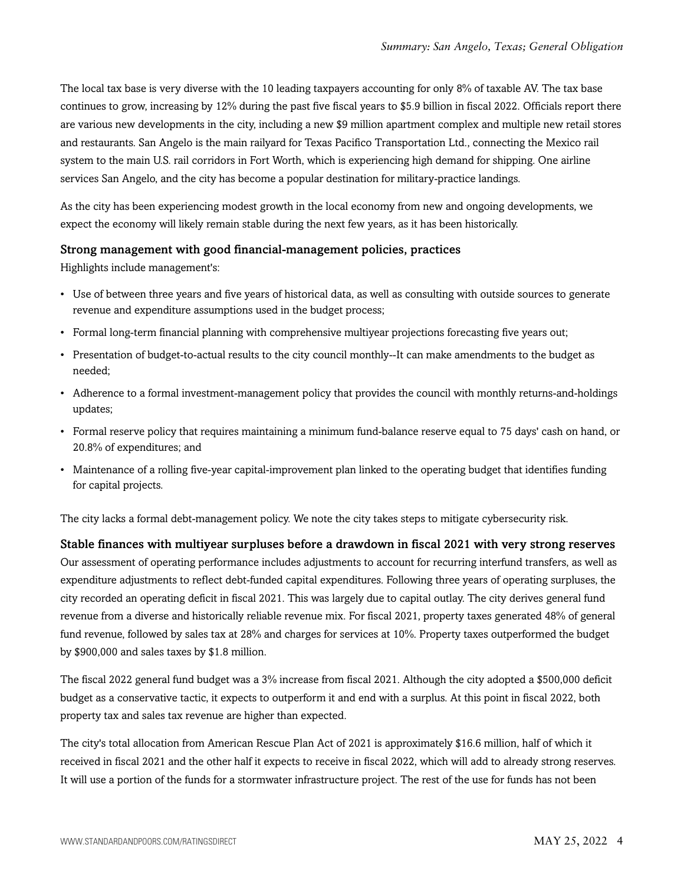The local tax base is very diverse with the 10 leading taxpayers accounting for only 8% of taxable AV. The tax base continues to grow, increasing by 12% during the past five fiscal years to \$5.9 billion in fiscal 2022. Officials report there are various new developments in the city, including a new \$9 million apartment complex and multiple new retail stores and restaurants. San Angelo is the main railyard for Texas Pacifico Transportation Ltd., connecting the Mexico rail system to the main U.S. rail corridors in Fort Worth, which is experiencing high demand for shipping. One airline services San Angelo, and the city has become a popular destination for military-practice landings.

As the city has been experiencing modest growth in the local economy from new and ongoing developments, we expect the economy will likely remain stable during the next few years, as it has been historically.

#### Strong management with good financial-management policies, practices

Highlights include management's:

- Use of between three years and five years of historical data, as well as consulting with outside sources to generate revenue and expenditure assumptions used in the budget process;
- Formal long-term financial planning with comprehensive multiyear projections forecasting five years out;
- Presentation of budget-to-actual results to the city council monthly--It can make amendments to the budget as needed;
- Adherence to a formal investment-management policy that provides the council with monthly returns-and-holdings updates;
- Formal reserve policy that requires maintaining a minimum fund-balance reserve equal to 75 days' cash on hand, or 20.8% of expenditures; and
- Maintenance of a rolling five-year capital-improvement plan linked to the operating budget that identifies funding for capital projects.

The city lacks a formal debt-management policy. We note the city takes steps to mitigate cybersecurity risk.

Stable finances with multiyear surpluses before a drawdown in fiscal 2021 with very strong reserves Our assessment of operating performance includes adjustments to account for recurring interfund transfers, as well as expenditure adjustments to reflect debt-funded capital expenditures. Following three years of operating surpluses, the city recorded an operating deficit in fiscal 2021. This was largely due to capital outlay. The city derives general fund revenue from a diverse and historically reliable revenue mix. For fiscal 2021, property taxes generated 48% of general fund revenue, followed by sales tax at 28% and charges for services at 10%. Property taxes outperformed the budget by \$900,000 and sales taxes by \$1.8 million.

The fiscal 2022 general fund budget was a 3% increase from fiscal 2021. Although the city adopted a \$500,000 deficit budget as a conservative tactic, it expects to outperform it and end with a surplus. At this point in fiscal 2022, both property tax and sales tax revenue are higher than expected.

The city's total allocation from American Rescue Plan Act of 2021 is approximately \$16.6 million, half of which it received in fiscal 2021 and the other half it expects to receive in fiscal 2022, which will add to already strong reserves. It will use a portion of the funds for a stormwater infrastructure project. The rest of the use for funds has not been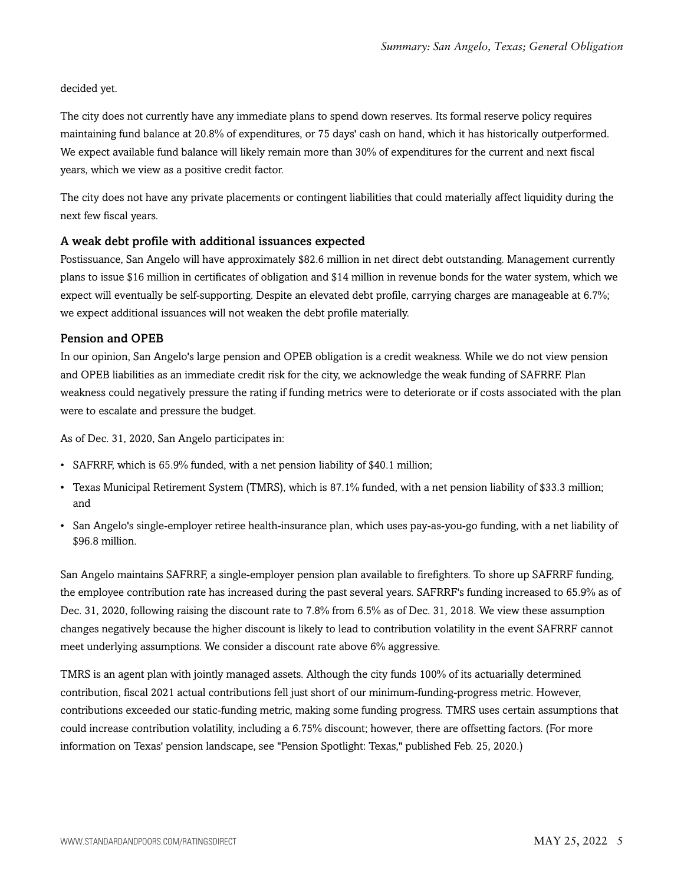decided yet.

The city does not currently have any immediate plans to spend down reserves. Its formal reserve policy requires maintaining fund balance at 20.8% of expenditures, or 75 days' cash on hand, which it has historically outperformed. We expect available fund balance will likely remain more than 30% of expenditures for the current and next fiscal years, which we view as a positive credit factor.

The city does not have any private placements or contingent liabilities that could materially affect liquidity during the next few fiscal years.

#### A weak debt profile with additional issuances expected

Postissuance, San Angelo will have approximately \$82.6 million in net direct debt outstanding. Management currently plans to issue \$16 million in certificates of obligation and \$14 million in revenue bonds for the water system, which we expect will eventually be self-supporting. Despite an elevated debt profile, carrying charges are manageable at 6.7%; we expect additional issuances will not weaken the debt profile materially.

#### Pension and OPEB

In our opinion, San Angelo's large pension and OPEB obligation is a credit weakness. While we do not view pension and OPEB liabilities as an immediate credit risk for the city, we acknowledge the weak funding of SAFRRF. Plan weakness could negatively pressure the rating if funding metrics were to deteriorate or if costs associated with the plan were to escalate and pressure the budget.

As of Dec. 31, 2020, San Angelo participates in:

- SAFRRF, which is 65.9% funded, with a net pension liability of \$40.1 million;
- Texas Municipal Retirement System (TMRS), which is 87.1% funded, with a net pension liability of \$33.3 million; and
- San Angelo's single-employer retiree health-insurance plan, which uses pay-as-you-go funding, with a net liability of \$96.8 million.

San Angelo maintains SAFRRF, a single-employer pension plan available to firefighters. To shore up SAFRRF funding, the employee contribution rate has increased during the past several years. SAFRRF's funding increased to 65.9% as of Dec. 31, 2020, following raising the discount rate to 7.8% from 6.5% as of Dec. 31, 2018. We view these assumption changes negatively because the higher discount is likely to lead to contribution volatility in the event SAFRRF cannot meet underlying assumptions. We consider a discount rate above 6% aggressive.

TMRS is an agent plan with jointly managed assets. Although the city funds 100% of its actuarially determined contribution, fiscal 2021 actual contributions fell just short of our minimum-funding-progress metric. However, contributions exceeded our static-funding metric, making some funding progress. TMRS uses certain assumptions that could increase contribution volatility, including a 6.75% discount; however, there are offsetting factors. (For more information on Texas' pension landscape, see "Pension Spotlight: Texas," published Feb. 25, 2020.)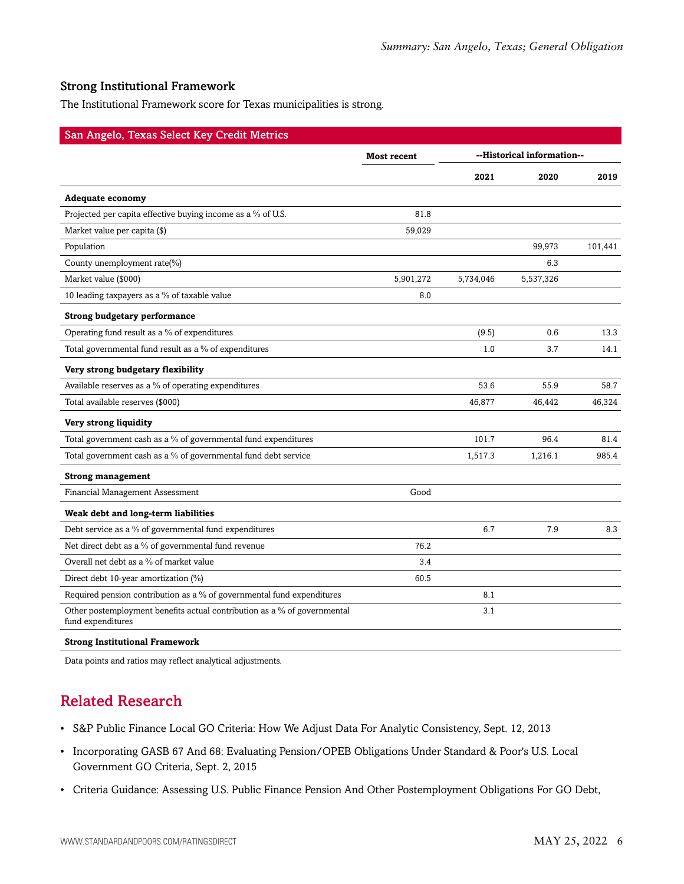#### Strong Institutional Framework

The Institutional Framework score for Texas municipalities is strong.

| San Angelo, Texas Select Key Credit Metrics                                                   |                    |           |                            |         |
|-----------------------------------------------------------------------------------------------|--------------------|-----------|----------------------------|---------|
|                                                                                               | <b>Most recent</b> |           | --Historical information-- |         |
|                                                                                               |                    | 2021      | 2020                       | 2019    |
| <b>Adequate economy</b>                                                                       |                    |           |                            |         |
| Projected per capita effective buying income as a % of U.S.                                   | 81.8               |           |                            |         |
| Market value per capita (\$)                                                                  | 59,029             |           |                            |         |
| Population                                                                                    |                    |           | 99,973                     | 101,441 |
| County unemployment rate(%)                                                                   |                    |           | 6.3                        |         |
| Market value (\$000)                                                                          | 5,901,272          | 5,734,046 | 5,537,326                  |         |
| 10 leading taxpayers as a % of taxable value                                                  | 8.0                |           |                            |         |
| <b>Strong budgetary performance</b>                                                           |                    |           |                            |         |
| Operating fund result as a % of expenditures                                                  |                    | (9.5)     | 0.6                        | 13.3    |
| Total governmental fund result as a % of expenditures                                         |                    | 1.0       | 3.7                        | 14.1    |
| Very strong budgetary flexibility                                                             |                    |           |                            |         |
| Available reserves as a % of operating expenditures                                           |                    | 53.6      | 55.9                       | 58.7    |
| Total available reserves (\$000)                                                              |                    | 46,877    | 46,442                     | 46,324  |
| Very strong liquidity                                                                         |                    |           |                            |         |
| Total government cash as a % of governmental fund expenditures                                |                    | 101.7     | 96.4                       | 81.4    |
| Total government cash as a % of governmental fund debt service                                |                    | 1,517.3   | 1,216.1                    | 985.4   |
| <b>Strong management</b>                                                                      |                    |           |                            |         |
| Financial Management Assessment                                                               | Good               |           |                            |         |
| Weak debt and long-term liabilities                                                           |                    |           |                            |         |
| Debt service as a % of governmental fund expenditures                                         |                    | 6.7       | 7.9                        | 8.3     |
| Net direct debt as a % of governmental fund revenue                                           | 76.2               |           |                            |         |
| Overall net debt as a % of market value                                                       | 3.4                |           |                            |         |
| Direct debt 10-year amortization (%)                                                          | 60.5               |           |                            |         |
| Required pension contribution as a % of governmental fund expenditures                        |                    | 8.1       |                            |         |
| Other postemployment benefits actual contribution as a % of governmental<br>fund expenditures |                    | 3.1       |                            |         |
|                                                                                               |                    |           |                            |         |

#### **Strong Institutional Framework**

<span id="page-5-0"></span>Data points and ratios may reflect analytical adjustments.

# Related Research

- S&P Public Finance Local GO Criteria: How We Adjust Data For Analytic Consistency, Sept. 12, 2013
- Incorporating GASB 67 And 68: Evaluating Pension/OPEB Obligations Under Standard & Poor's U.S. Local Government GO Criteria, Sept. 2, 2015
- Criteria Guidance: Assessing U.S. Public Finance Pension And Other Postemployment Obligations For GO Debt,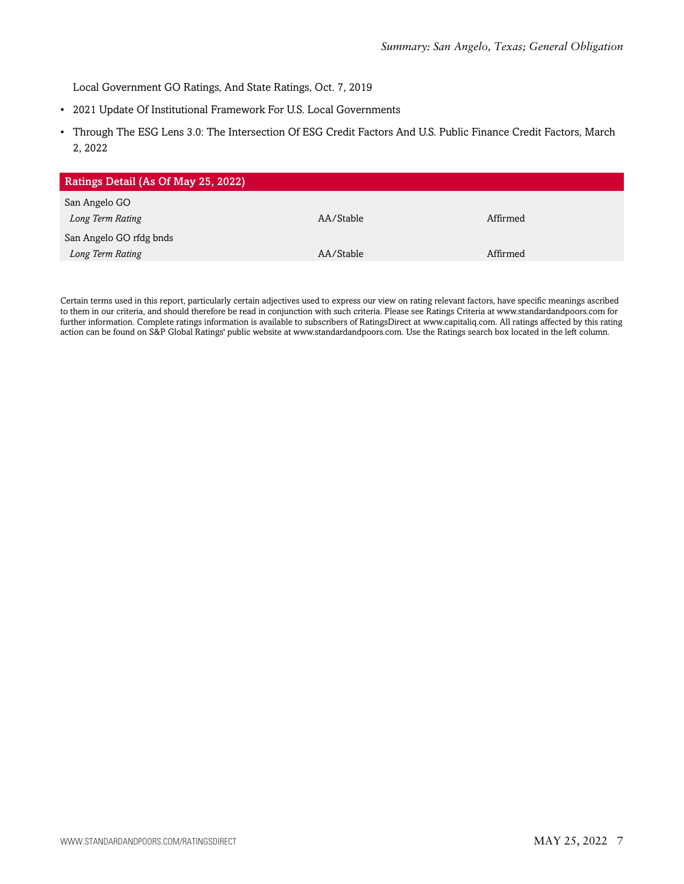Local Government GO Ratings, And State Ratings, Oct. 7, 2019

- 2021 Update Of Institutional Framework For U.S. Local Governments
- Through The ESG Lens 3.0: The Intersection Of ESG Credit Factors And U.S. Public Finance Credit Factors, March 2, 2022

| Ratings Detail (As Of May 25, 2022) |           |          |
|-------------------------------------|-----------|----------|
| San Angelo GO                       |           |          |
| Long Term Rating                    | AA/Stable | Affirmed |
| San Angelo GO rfdg bnds             |           |          |
| Long Term Rating                    | AA/Stable | Affirmed |

Certain terms used in this report, particularly certain adjectives used to express our view on rating relevant factors, have specific meanings ascribed to them in our criteria, and should therefore be read in conjunction with such criteria. Please see Ratings Criteria at www.standardandpoors.com for further information. Complete ratings information is available to subscribers of RatingsDirect at www.capitaliq.com. All ratings affected by this rating action can be found on S&P Global Ratings' public website at www.standardandpoors.com. Use the Ratings search box located in the left column.